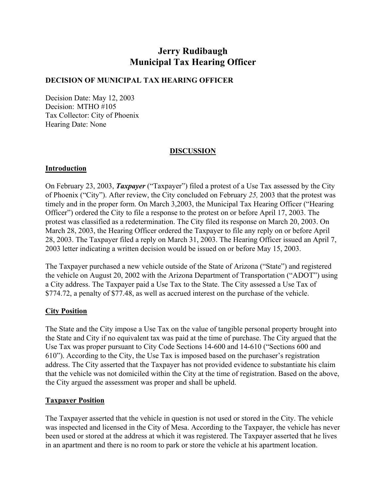# **Jerry Rudibaugh Municipal Tax Hearing Officer**

#### **DECISION OF MUNICIPAL TAX HEARING OFFICER**

Decision Date: May 12, 2003 Decision: MTHO #105 Tax Collector: City of Phoenix Hearing Date: None

## **DISCUSSION**

## **Introduction**

On February 23, 2003, *Taxpayer* ("Taxpayer") filed a protest of a Use Tax assessed by the City of Phoenix ("City"). After review, the City concluded on February *25,* 2003 that the protest was timely and in the proper form. On March 3,2003, the Municipal Tax Hearing Officer ("Hearing Officer") ordered the City to file a response to the protest on or before April 17, 2003. The protest was classified as a redetermination. The City filed its response on March 20, 2003. On March 28, 2003, the Hearing Officer ordered the Taxpayer to file any reply on or before April 28, 2003. The Taxpayer filed a reply on March 31, 2003. The Hearing Officer issued an April 7, 2003 letter indicating a written decision would be issued on or before May 15, 2003.

The Taxpayer purchased a new vehicle outside of the State of Arizona ("State") and registered the vehicle on August 20, 2002 with the Arizona Department of Transportation ("ADOT") using a City address. The Taxpayer paid a Use Tax to the State. The City assessed a Use Tax of \$774.72, a penalty of \$77.48, as well as accrued interest on the purchase of the vehicle.

## **City Position**

The State and the City impose a Use Tax on the value of tangible personal property brought into the State and City if no equivalent tax was paid at the time of purchase. The City argued that the Use Tax was proper pursuant to City Code Sections 14-600 and 14-610 ("Sections 600 and 610"). According to the City, the Use Tax is imposed based on the purchaser's registration address. The City asserted that the Taxpayer has not provided evidence to substantiate his claim that the vehicle was not domiciled within the City at the time of registration. Based on the above, the City argued the assessment was proper and shall be upheld.

## **Taxpayer Position**

The Taxpayer asserted that the vehicle in question is not used or stored in the City. The vehicle was inspected and licensed in the City of Mesa. According to the Taxpayer, the vehicle has never been used or stored at the address at which it was registered. The Taxpayer asserted that he lives in an apartment and there is no room to park or store the vehicle at his apartment location.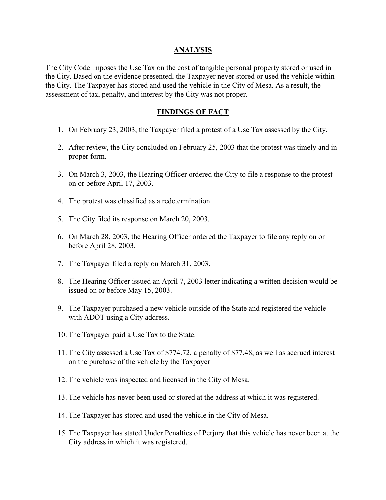#### **ANALYSIS**

The City Code imposes the Use Tax on the cost of tangible personal property stored or used in the City. Based on the evidence presented, the Taxpayer never stored or used the vehicle within the City. The Taxpayer has stored and used the vehicle in the City of Mesa. As a result, the assessment of tax, penalty, and interest by the City was not proper.

#### **FINDINGS OF FACT**

- 1. On February 23, 2003, the Taxpayer filed a protest of a Use Tax assessed by the City.
- 2. After review, the City concluded on February 25, 2003 that the protest was timely and in proper form.
- 3. On March 3, 2003, the Hearing Officer ordered the City to file a response to the protest on or before April 17, 2003.
- 4. The protest was classified as a redetermination.
- 5. The City filed its response on March 20, 2003.
- 6. On March 28, 2003, the Hearing Officer ordered the Taxpayer to file any reply on or before April 28, 2003.
- 7. The Taxpayer filed a reply on March 31, 2003.
- 8. The Hearing Officer issued an April 7, 2003 letter indicating a written decision would be issued on or before May 15, 2003.
- 9. The Taxpayer purchased a new vehicle outside of the State and registered the vehicle with ADOT using a City address.
- 10. The Taxpayer paid a Use Tax to the State.
- 11. The City assessed a Use Tax of \$774.72, a penalty of \$77.48, as well as accrued interest on the purchase of the vehicle by the Taxpayer
- 12. The vehicle was inspected and licensed in the City of Mesa.
- 13. The vehicle has never been used or stored at the address at which it was registered.
- 14. The Taxpayer has stored and used the vehicle in the City of Mesa.
- 15. The Taxpayer has stated Under Penalties of Perjury that this vehicle has never been at the City address in which it was registered.